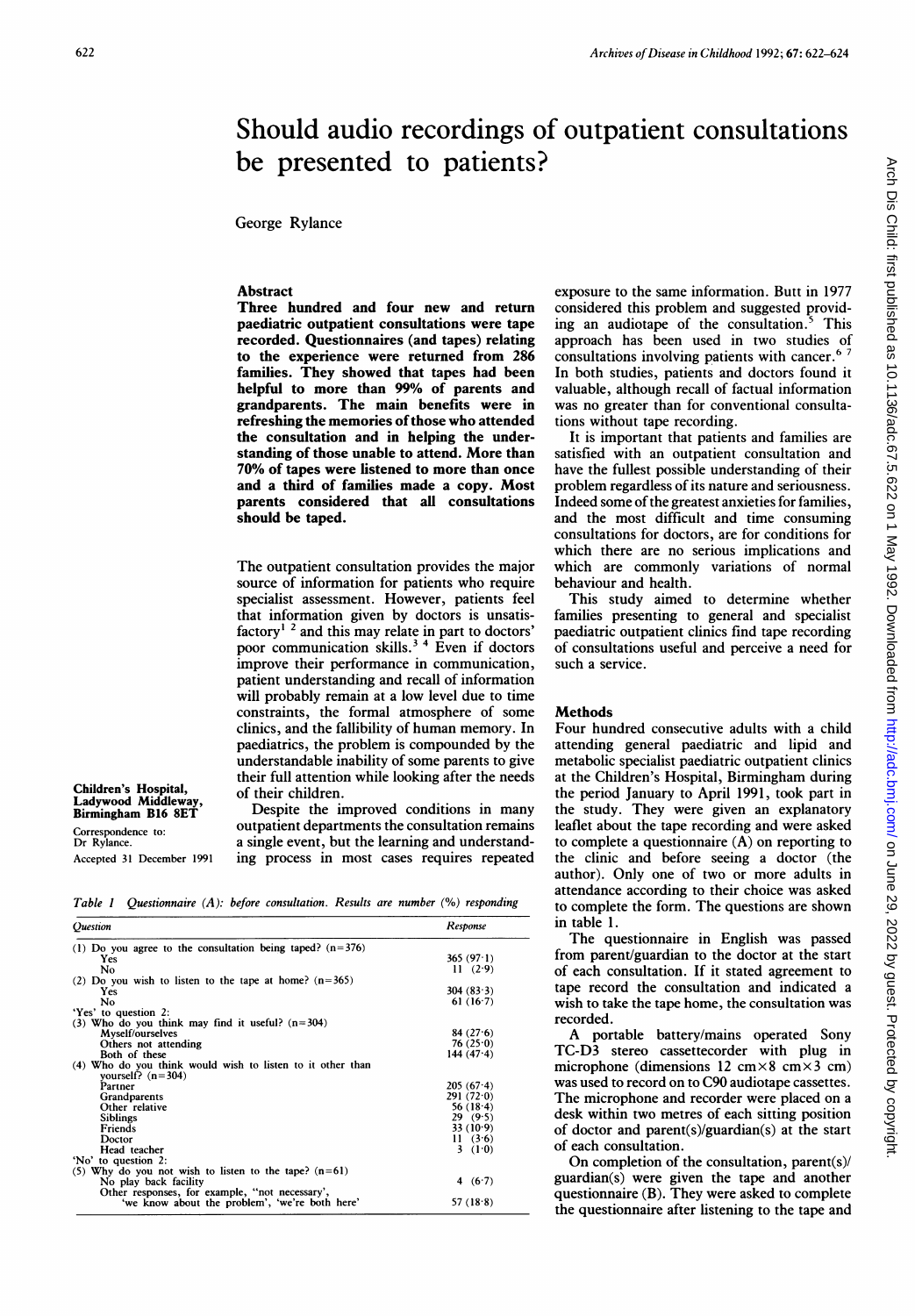# Should audio recordings of outpatient consultations be presented to patients?

George Rylance

## Abstract

Three hundred and four new and return paediatric outpatient consultations were tape recorded. Questionnaires (and tapes) relating to the experience were returned from 286 families. They showed that tapes had been helpful to more than 99% of parents and grandparents. The main benefits were in refreshing the memories of those who attended the consultation and in helping the understanding of those unable to attend. More than 70% of tapes were listened to more than once and a third of families made a copy. Most parents considered that all consultations should be taped.

The outpatient consultation provides the major source of information for patients who require specialist assessment. However, patients feel that information given by doctors is unsatisfactory' <sup>2</sup> and this may relate in part to doctors' poor communication skills.<sup>3</sup><sup>4</sup> Even if doctors improve their performance in communication, patient understanding and recall of information will probably remain at a low level due to time constraints, the formal atmosphere of some clinics, and the fallibility of human memory. In paediatrics, the problem is compounded by the understandable inability of some parents to give their full attention while looking after the needs of their children.

Children's Hospital, Ladywood Middleway, Birmingham B16 8ET Correspondence to: Dr Rylance. Accepted 31 December 1991

Despite the improved conditions in many outpatient departments the consultation remains a single event, but the learning and understanding process in most cases requires repeated

Table <sup>I</sup> Questionnaire (A): before consultation. Results are number (%) responding

| Ouestion                                                                          | Response     |
|-----------------------------------------------------------------------------------|--------------|
| (1) Do you agree to the consultation being taped? $(n=376)$                       |              |
| Yes                                                                               | 365 $(97.1)$ |
| No                                                                                | 11(2.9)      |
| (2) Do you wish to listen to the tape at home? $(n=365)$                          |              |
| Yes                                                                               | 304 (83.3)   |
| No                                                                                | 61(16.7)     |
| 'Yes' to question 2:                                                              |              |
| (3) Who do you think may find it useful? $(n=304)$                                |              |
| Myself/ourselves                                                                  | 84(27.6)     |
| Others not attending                                                              | 76(25.0)     |
| Both of these                                                                     | 144 $(47.4)$ |
| (4) Who do you think would wish to listen to it other than<br>vourself? $(n=304)$ |              |
| Partner                                                                           | $205(67-4)$  |
| Grandparents                                                                      | 291(72.0)    |
| Other relative                                                                    | 56 $(18.4)$  |
| <b>Siblings</b>                                                                   | 29(9.5)      |
| Friends                                                                           | 33(10.9)     |
| Doctor                                                                            | 11(3.6)      |
| Head teacher                                                                      | 3 $(1.0)$    |
| 'No' to question 2:                                                               |              |
| (5) Why do you not wish to listen to the tape? $(n=61)$                           |              |
| No play back facility                                                             | 4 $(6.7)$    |
| Other responses, for example, "not necessary',                                    |              |
| 'we know about the problem', 'we're both here'                                    | 57 $(18.8)$  |

exposure to the same information. Butt in 1977 considered this problem and suggested providing an audiotape of the consultation.<sup>5</sup> This ing an audiotape of the consultation.<sup>5</sup> approach has been used in two studies of consultations involving patients with cancer.<sup>67</sup> In both studies, patients and doctors found it valuable, although recall of factual information was no greater than for conventional consultations without tape recording.

It is important that patients and families are satisfied with an outpatient consultation and have the fullest possible understanding of their problem regardless of its nature and seriousness. Indeed some of the greatest anxieties for families, and the most difficult and time consuming consultations for doctors, are for conditions for which there are no serious implications and which are commonly variations of normal behaviour and health.

This study aimed to determine whether families presenting to general and specialist paediatric outpatient clinics find tape recording of consultations useful and perceive a need for such a service.

#### **Methods**

Four hundred consecutive adults with a child attending general paediatric and lipid and metabolic specialist paediatric outpatient clinics at the Children's Hospital, Birmingham during the period January to April 1991, took part in the study. They were given an explanatory leaflet about the tape recording and were asked to complete a questionnaire  $(A)$  on reporting to the clinic and before seeing a doctor (the author). Only one of two or more adults in attendance according to their choice was asked to complete the form. The questions are shown in table 1.

The questionnaire in English was passed from parent/guardian to the doctor at the start of each consultation. If it stated agreement to tape record the consultation and indicated a wish to take the tape home, the consultation was recorded.

A portable battery/mains operated Sony TC-D3 stereo cassettecorder with plug in microphone (dimensions 12 cm $\times$ 8 cm $\times$ 3 cm) was used to record on to C90 audiotape cassettes. The microphone and recorder were placed on <sup>a</sup> desk within two metres of each sitting position of doctor and parent(s)/guardian(s) at the start of each consultation.

On completion of the consultation, parent(s)/ guardian(s) were given the tape and another questionnaire (B). They were asked to complete the questionnaire after listening to the tape and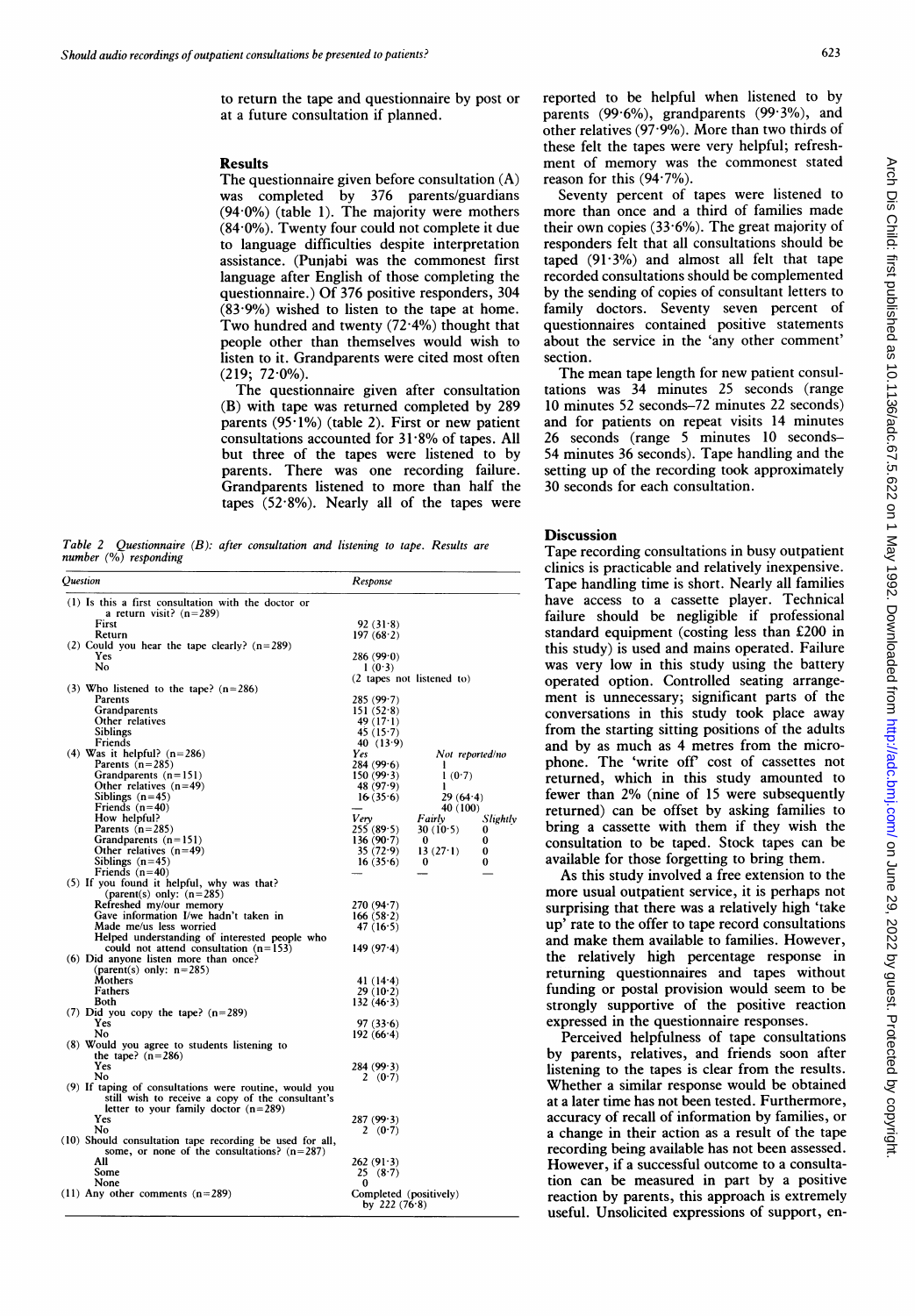## Results

The questionnaire given before consultation (A) was completed by 376 parents/guardians  $(94.0\%)$  (table 1). The majority were mothers  $(84.0\%)$ . Twenty four could not complete it due to language difficulties despite interpretation assistance. (Punjabi was the commonest first language after English of those completing the questionnaire.) Of 376 positive responders, 304  $(83.9%)$  wished to listen to the tape at home. Two hundred and twenty  $(72.4\%)$  thought that people other than themselves would wish to listen to it. Grandparents were cited most often  $(219; 72.0\%).$ 

The questionnaire given after consultation (B) with tape was returned completed by 289 parents  $(95.1\%)$  (table 2). First or new patient consultations accounted for 31-8% of tapes. All but three of the tapes were listened to by parents. There was one recording failure. Grandparents listened to more than half the tapes  $(52.8\%)$ . Nearly all of the tapes were

Table 2 Questionnaire  $(B)$ : after consultation and listening to tape. number (%) responding

| Ouestion |                                                                                                                                                      | Response                                  |                    |
|----------|------------------------------------------------------------------------------------------------------------------------------------------------------|-------------------------------------------|--------------------|
|          | (1) Is this a first consultation with the doctor or<br>a return visit? $(n=289)$                                                                     |                                           |                    |
|          | First                                                                                                                                                | 92(31.8)                                  |                    |
|          | Return                                                                                                                                               | 197(68.2)                                 |                    |
|          | (2) Could you hear the tape clearly? $(n=289)$                                                                                                       |                                           |                    |
|          | <b>Yes</b>                                                                                                                                           | 286(99.0)                                 |                    |
|          | No                                                                                                                                                   | 1(0.3)                                    |                    |
|          |                                                                                                                                                      | (2 tapes not listened to)                 |                    |
|          | (3) Who listened to the tape? $(n=286)$                                                                                                              |                                           |                    |
|          | Parents                                                                                                                                              | 285(99.7)                                 |                    |
|          | Grandparents                                                                                                                                         | 151(52.8)                                 |                    |
|          | Other relatives                                                                                                                                      | 49 $(17.1)$                               |                    |
|          | <b>Siblings</b>                                                                                                                                      | 45(15.7)                                  |                    |
|          | Friends                                                                                                                                              | 40 $(13.9)$                               |                    |
|          | $(4)$ Was it helpful? $(n=286)$                                                                                                                      | Yes                                       | Not reported/no    |
|          | Parents $(n=285)$                                                                                                                                    | 284(99.6)                                 | л                  |
|          | Grandparents $(n=151)$                                                                                                                               | 150(99.3)                                 | 1(0.7)             |
|          | Other relatives $(n=49)$                                                                                                                             | 48 $(97.9)$                               | п                  |
|          | Siblings $(n=45)$                                                                                                                                    | 16(35.6)                                  | 29(64.4)           |
|          | Friends $(n=40)$                                                                                                                                     |                                           | 40 (100)           |
|          | How helpful?                                                                                                                                         | Verv                                      | Fairly<br>Slightly |
|          | Parents $(n=285)$                                                                                                                                    | 255(89.5)                                 | 30(10.5)<br>0      |
|          | Grandparents $(n=151)$                                                                                                                               | 136(90.7)                                 | 0<br>0             |
|          | Other relatives $(n=49)$                                                                                                                             | 35(72.9)                                  | 13(27.1)<br>0      |
|          | Siblings $(n=45)$                                                                                                                                    | 16(35.6)                                  | 0<br>$\bf{0}$      |
|          | Friends $(n=40)$                                                                                                                                     |                                           |                    |
|          | (5) If you found it helpful, why was that?                                                                                                           |                                           |                    |
|          | (parent(s) only: $(n=285)$                                                                                                                           |                                           |                    |
|          | Refreshed my/our memory                                                                                                                              | 270(94.7)                                 |                    |
|          | Gave information I/we hadn't taken in                                                                                                                | 166(58.2)                                 |                    |
|          | Made me/us less worried                                                                                                                              | 47 $(16.5)$                               |                    |
|          | Helped understanding of interested people who                                                                                                        |                                           |                    |
|          | could not attend consultation $(n=153)$                                                                                                              | 149(97.4)                                 |                    |
|          | (6) Did anyone listen more than once?                                                                                                                |                                           |                    |
|          | (parent(s) only: $n=285$ )<br>Mothers                                                                                                                |                                           |                    |
|          | Fathers                                                                                                                                              | 41 $(14.4)$<br>29(10.2)                   |                    |
|          | Both                                                                                                                                                 | 132(46.3)                                 |                    |
|          | (7) Did you copy the tape? $(n=289)$                                                                                                                 |                                           |                    |
|          | Yes                                                                                                                                                  | 97(336)                                   |                    |
|          | No                                                                                                                                                   | 192(66.4)                                 |                    |
|          | (8) Would you agree to students listening to                                                                                                         |                                           |                    |
|          | the tape? $(n=286)$                                                                                                                                  |                                           |                    |
|          | Yes                                                                                                                                                  | 284(99.3)                                 |                    |
|          | No                                                                                                                                                   | 2 $(0.7)$                                 |                    |
|          | (9) If taping of consultations were routine, would you<br>still wish to receive a copy of the consultant's<br>letter to your family doctor $(n=289)$ |                                           |                    |
|          | Yes                                                                                                                                                  | 287(99.3)                                 |                    |
|          | No                                                                                                                                                   | 2(0.7)                                    |                    |
|          | (10) Should consultation tape recording be used for all,<br>some, or none of the consultations? $(n=287)$                                            |                                           |                    |
|          | All                                                                                                                                                  | 262(913)                                  |                    |
|          | Some                                                                                                                                                 | 25 (8.7)                                  |                    |
|          | None                                                                                                                                                 | 0                                         |                    |
|          | $(11)$ Any other comments $(n=289)$                                                                                                                  | Completed (positively)<br>by 222 $(76.8)$ |                    |

reported to be helpful when listened to by parents  $(99.6\%)$ , grandparents  $(99.3\%)$ , and other relatives  $(97.9\%)$ . More than two thirds of these felt the tapes were very helpful; refreshment of memory was the commonest stated reason for this  $(94.7\%)$ .

Seventy percent of tapes were listened to more than once and <sup>a</sup> third of families made their own copies  $(33.6\%)$ . The great majority of responders felt that all consultations should be taped  $(91.3\%)$  and almost all felt that tape recorded consultations should be complemented by the sending of copies of consultant letters to family doctors. Seventy seven percent of questionnaires contained positive statements about the service in the 'any other comment' section.

The mean tape length for new patient consultations was 34 minutes 25 seconds (range 10 minutes 52 seconds-72 minutes 22 seconds) and for patients on repeat visits 14 minutes 26 seconds (range 5 minutes 10 seconds-54 minutes 36 seconds). Tape handling and the setting up of the recording took approximately 30 seconds for each consultation.

## **Discussion**

Tape recording consultations in busy outpatient clinics is practicable and relatively inexpensive. Tape handling time is short. Nearly all families have access to a cassette player. Technical failure should be negligible if professional standard equipment (costing less than £200 in this study) is used and mains operated. Failure was very low in this study using the battery operated option. Controlled seating arrangement is unnecessary; significant parts of the conversations in this study took place away from the starting sitting positions of the adults and by as much as 4 metres from the microphone. The 'write off' cost of cassettes not returned, which in this study amounted to fewer than 2% (nine of 15 were subsequently returned) can be offset by asking families to bring a cassette with them if they wish the consultation to be taped. Stock tapes can be available for those forgetting to bring them.

As this study involved a free extension to the more usual outpatient service, it is perhaps not surprising that there was a relatively high 'take up' rate to the offer to tape record consultations and make them available to families. However, the relatively high percentage response in returning questionnaires and tapes without funding or postal provision would seem to be strongly supportive of the positive reaction expressed in the questionnaire responses.

Perceived helpfulness of tape consultations by parents, relatives, and friends soon after listening to the tapes is clear from the results. Whether a similar response would be obtained at a later time has not been tested. Furthermore, accuracy of recall of information by families, or a change in their action as a result of the tape recording being available has not been assessed. However, if a successful outcome to a consultation can be measured in part by a positive reaction by parents, this approach is extremely useful. Unsolicited expressions of support, en